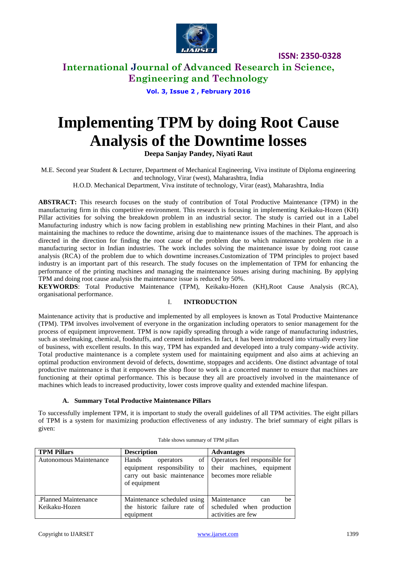

**International Journal of Advanced Research in Science, Engineering and Technology**

**Vol. 3, Issue 2 , February 2016**

# **Implementing TPM by doing Root Cause Analysis of the Downtime losses**

**Deepa Sanjay Pandey, Niyati Raut**

M.E. Second year Student & Lecturer, Department of Mechanical Engineering, Viva institute of Diploma engineering and technology, Virar (west), Maharashtra, India

H.O.D. Mechanical Department, Viva institute of technology, Virar (east), Maharashtra, India

**ABSTRACT:** This research focuses on the study of contribution of Total Productive Maintenance (TPM) in the manufacturing firm in this competitive environment. This research is focusing in implementing Keikaku-Hozen (KH) Pillar activities for solving the breakdown problem in an industrial sector. The study is carried out in a Label Manufacturing industry which is now facing problem in establishing new printing Machines in their Plant, and also maintaining the machines to reduce the downtime, arising due to maintenance issues of the machines. The approach is directed in the direction for finding the root cause of the problem due to which maintenance problem rise in a manufacturing sector in Indian industries. The work includes solving the maintenance issue by doing root cause analysis (RCA) of the problem due to which downtime increases.Customization of TPM principles to project based industry is an important part of this research. The study focuses on the implementation of TPM for enhancing the performance of the printing machines and managing the maintenance issues arising during machining. By applying TPM and doing root cause analysis the maintenance issue is reduced by 50%.

**KEYWORDS**: Total Productive Maintenance (TPM), Keikaku-Hozen (KH),Root Cause Analysis (RCA), organisational performance.

### I. **INTRODUCTION**

Maintenance activity that is productive and implemented by all employees is known as Total Productive Maintenance (TPM). TPM involves involvement of everyone in the organization including operators to senior management for the process of equipment improvement. TPM is now rapidly spreading through a wide range of manufacturing industries, such as steelmaking, chemical, foodstuffs, and cement industries. In fact, it has been introduced into virtually every line of business, with excellent results. In this way, TPM has expanded and developed into a truly company-wide activity. Total productive maintenance is a complete system used for maintaining equipment and also aims at achieving an optimal production environment devoid of defects, downtime, stoppages and accidents. One distinct advantage of total productive maintenance is that it empowers the shop floor to work in a concerted manner to ensure that machines are functioning at their optimal performance. This is because they all are proactively involved in the maintenance of machines which leads to increased productivity, lower costs improve quality and extended machine lifespan.

### **A. Summary Total Productive Maintenance Pillars**

To successfully implement TPM, it is important to study the overall guidelines of all TPM activities. The eight pillars of TPM is a system for maximizing production effectiveness of any industry. The brief summary of eight pillars is given:

| <b>TPM Pillars</b>                   | <b>Description</b>                                                                                     | <b>Advantages</b>                                                                    |
|--------------------------------------|--------------------------------------------------------------------------------------------------------|--------------------------------------------------------------------------------------|
| Autonomous Maintenance               | Hands<br>of<br>operators<br>equipment responsibility to<br>carry out basic maintenance<br>of equipment | Operators feel responsible for<br>their machines, equipment<br>becomes more reliable |
| Planned Maintenance<br>Keikaku-Hozen | Maintenance scheduled using<br>the historic failure rate of<br>equipment                               | Maintenance<br>be<br>can<br>scheduled when production<br>activities are few          |

| Table shows summary of TPM pillars |  |  |  |
|------------------------------------|--|--|--|
|------------------------------------|--|--|--|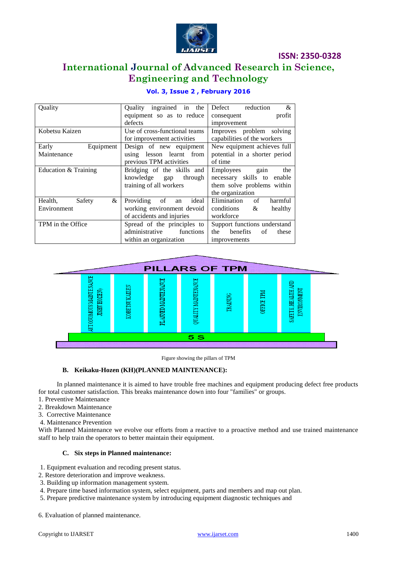

# **International Journal of Advanced Research in Science, Engineering and Technology**

| Quality                | ingrained in<br>Ouality<br>the | &<br>Defect<br>reduction              |  |
|------------------------|--------------------------------|---------------------------------------|--|
|                        | equipment so as to reduce      | profit<br>consequent                  |  |
|                        | defects                        | improvement                           |  |
| Kobetsu Kaizen         | Use of cross-functional teams  | Improves problem solving              |  |
|                        | for improvement activities     | capabilities of the workers           |  |
| Early<br>Equipment     | Design of new equipment        | New equipment achieves full           |  |
| Maintenance            | using lesson learnt from       | potential in a shorter period         |  |
|                        | previous TPM activities        | of time                               |  |
| Education & Training   | Bridging of the skills and     | Employees gain<br>the                 |  |
|                        | knowledge gap<br>through       | necessary skills to enable            |  |
|                        | training of all workers        | them solve problems within            |  |
|                        |                                | the organization                      |  |
| &<br>Health,<br>Safety | ideal<br>Providing of<br>an    | Elimination<br>harmful<br>of          |  |
| Environment            | working environment devoid     | conditions<br>&<br>healthy            |  |
|                        | of accidents and injuries      | workforce                             |  |
| TPM in the Office      | Spread of the principles to    | Support functions understand          |  |
|                        | administrative<br>functions    | <b>benefits</b><br>of<br>the<br>these |  |
|                        | within an organization         | improvements                          |  |

### **Vol. 3, Issue 2 , February 2016**



Figure showing the pillars of TPM

### **B. Keikaku-Hozen (KH)(PLANNED MAINTENANCE):**

 In planned maintenance it is aimed to have trouble free machines and equipment producing defect free products for total customer satisfaction. This breaks maintenance down into four "families" or groups.

- 1. Preventive Maintenance
- 2. Breakdown Maintenance
- 3. Corrective Maintenance
- 4. Maintenance Prevention

With Planned Maintenance we evolve our efforts from a reactive to a proactive method and use trained maintenance staff to help train the operators to better maintain their equipment.

### **C. Six steps in Planned maintenance:**

- 1. Equipment evaluation and recoding present status.
- 2. Restore deterioration and improve weakness.
- 3. Building up information management system.
- 4. Prepare time based information system, select equipment, parts and members and map out plan.
- 5. Prepare predictive maintenance system by introducing equipment diagnostic techniques and

6. Evaluation of planned maintenance.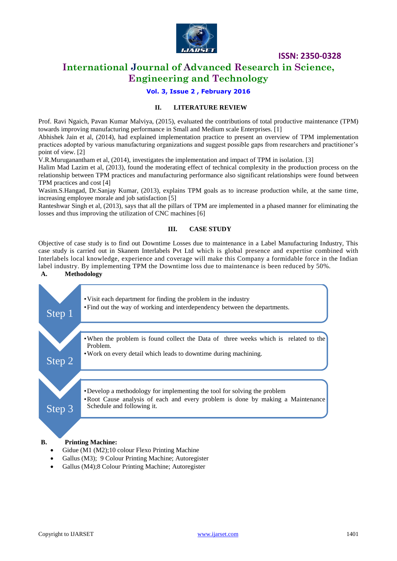

### **International Journal of Advanced Research in Science, Engineering and Technology**

**Vol. 3, Issue 2 , February 2016**

### **II. LITERATURE REVIEW**

Prof. Ravi Ngaich, Pavan Kumar Malviya, (2015), evaluated the contributions of total productive maintenance (TPM) towards improving manufacturing performance in Small and Medium scale Enterprises. [1]

Abhishek Jain et al, (2014), had explained implementation practice to present an overview of TPM implementation practices adopted by various manufacturing organizations and suggest possible gaps from researchers and practitioner's point of view. [2]

V.R.Muruganantham et al, (2014), investigates the implementation and impact of TPM in isolation. [3]

Halim Mad Lazim et al, (2013), found the moderating effect of technical complexity in the production process on the relationship between TPM practices and manufacturing performance also significant relationships were found between TPM practices and cost [4]

Wasim.S.Hangad, Dr.Sanjay Kumar, (2013), explains TPM goals as to increase production while, at the same time, increasing employee morale and job satisfaction [5]

Ranteshwar Singh et al, (2013), says that all the pillars of TPM are implemented in a phased manner for eliminating the losses and thus improving the utilization of CNC machines [6]

### **III. CASE STUDY**

Objective of case study is to find out Downtime Losses due to maintenance in a Label Manufacturing Industry, This case study is carried out in Skanem Interlabels Pvt Ltd which is global presence and expertise combined with Interlabels local knowledge, experience and coverage will make this Company a formidable force in the Indian label industry. By implementing TPM the Downtime loss due to maintenance is been reduced by 50%.

### **A. Methodology**



- Gidue (M1 (M2);10 colour Flexo Printing Machine
- Gallus (M3); 9 Colour Printing Machine; Autoregister
- Gallus (M4);8 Colour Printing Machine; Autoregister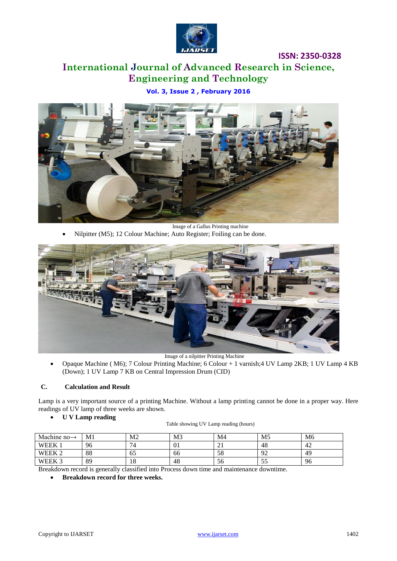

# **International Journal of Advanced Research in Science, Engineering and Technology**

**Vol. 3, Issue 2 , February 2016**



Image of a Gallus Printing machine Nilpitter (M5); 12 Colour Machine; Auto Register; Foiling can be done.



Image of a nilpitter Printing Machine

 Opaque Machine ( M6); 7 Colour Printing Machine; 6 Colour + 1 varnish;4 UV Lamp 2KB; 1 UV Lamp 4 KB (Down); 1 UV Lamp 7 KB on Central Impression Drum (CID)

### **C. Calculation and Result**

Lamp is a very important source of a printing Machine. Without a lamp printing cannot be done in a proper way. Here readings of UV lamp of three weeks are shown.

### **U V Lamp reading**

| Machine no $\rightarrow$ | M1 | M2                             | M <sub>3</sub> | M4 | M <sub>5</sub> | M6 |
|--------------------------|----|--------------------------------|----------------|----|----------------|----|
| <b>WEEK</b>              | 96 | $\mathbf{r}$<br>$\overline{ }$ | 01             | ∠⊥ | 48             | 42 |
| <b>WEEK</b>              | 88 | OC.                            | 66             | 58 | ാ<br>∼         | 49 |
| WEEK 3                   | 89 | 10                             | 48             | 56 | ر ر            | 96 |

Breakdown record is generally classified into Process down time and maintenance downtime.

**Breakdown record for three weeks.**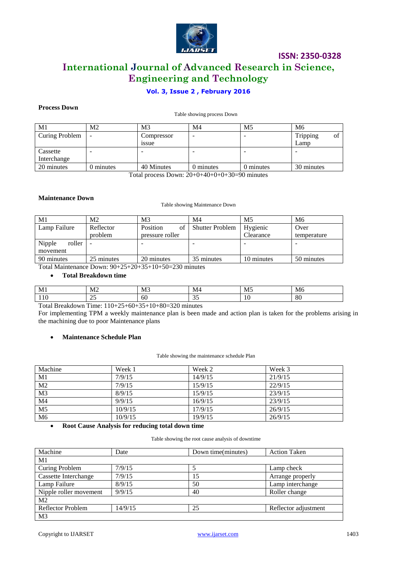

## **ISSN: 2350-0328 International Journal of Advanced Research in Science, Engineering and Technology**

### **Vol. 3, Issue 2 , February 2016**

### **Process Down**

Table showing process Down

| M1             | M2                                                       | M <sub>3</sub> | M4        | M5        | M6             |  |
|----------------|----------------------------------------------------------|----------------|-----------|-----------|----------------|--|
| Curing Problem | $\overline{\phantom{a}}$                                 | Compressor     | -         |           | Tripping<br>ΟÌ |  |
|                |                                                          | <i>ssue</i>    |           |           | Lamp           |  |
| Cassette       | $\overline{\phantom{0}}$                                 |                |           |           |                |  |
| Interchange    |                                                          |                |           |           |                |  |
| 20 minutes     | 0 minutes                                                | 40 Minutes     | 0 minutes | 0 minutes | 30 minutes     |  |
|                | 20.010.002000<br>$\mathbf{m}$ $\mathbf{1}$<br>$\sqrt{ }$ |                |           |           |                |  |

Total process Down: 20+0+40+0+0+30=90 minutes

### **Maintenance Down**

#### Table showing Maintenance Down

| M1               | Μ2                       | M <sub>3</sub>  | M4                     | M5         | M6          |
|------------------|--------------------------|-----------------|------------------------|------------|-------------|
| Lamp Failure     | Reflector                | Position<br>of  | <b>Shutter Problem</b> | Hygienic   | Over        |
|                  | problem                  | pressure roller |                        | Clearance  | temperature |
| Nipple<br>roller | $\overline{\phantom{a}}$ |                 |                        |            |             |
| movement         |                          |                 |                        |            |             |
| 90 minutes       | 25 minutes               | 20 minutes      | 35 minutes             | 10 minutes | 50 minutes  |

Total Maintenance Down: 90+25+20+35+10+50=230 minutes

### **Total Breakdown time**

| $\mathbf{r}$<br>M<br> | NЛ<br>11L | M <sub>3</sub> | M4            | M. | N/I              |
|-----------------------|-----------|----------------|---------------|----|------------------|
| 110                   | -         | 00             | $\sim$<br>ັບ~ |    | $\Omega$<br>- ou |

Total Breakdown Time: 110+25+60+35+10+80=320 minutes

For implementing TPM a weekly maintenance plan is been made and action plan is taken for the problems arising in the machining due to poor Maintenance plans

### **Maintenance Schedule Plan**

#### Table showing the maintenance schedule Plan

| Machine         | Week 1  | Week 2  | Week 3  |
|-----------------|---------|---------|---------|
| M1              | 7/9/15  | 14/9/15 | 21/9/15 |
| M <sub>2</sub>  | 7/9/15  | 15/9/15 | 22/9/15 |
| M <sub>3</sub>  | 8/9/15  | 15/9/15 | 23/9/15 |
| $\overline{M4}$ | 9/9/15  | 16/9/15 | 23/9/15 |
| M <sub>5</sub>  | 10/9/15 | 17/9/15 | 26/9/15 |
| M <sub>6</sub>  | 10/9/15 | 19/9/15 | 26/9/15 |

### **Root Cause Analysis for reducing total down time**

Table showing the root cause analysis of downtime

| Machine                | Date    | Down time(minutes) | <b>Action Taken</b>  |
|------------------------|---------|--------------------|----------------------|
| M1                     |         |                    |                      |
| Curing Problem         | 7/9/15  |                    | Lamp check           |
| Cassette Interchange   | 7/9/15  | 15                 | Arrange properly     |
| Lamp Failure           | 8/9/15  | 50                 | Lamp interchange     |
| Nipple roller movement | 9/9/15  | 40                 | Roller change        |
| M <sub>2</sub>         |         |                    |                      |
| Reflector Problem      | 14/9/15 | 25                 | Reflector adjustment |
| M <sub>3</sub>         |         |                    |                      |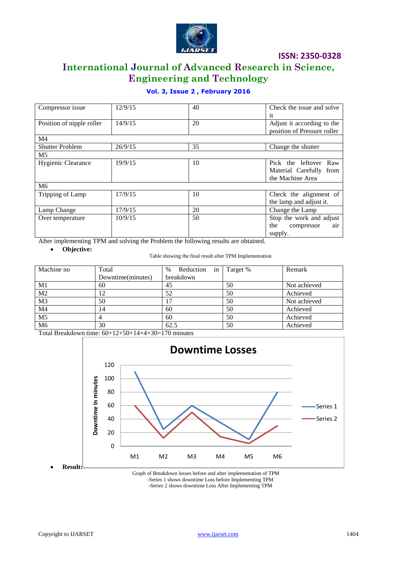

# **International Journal of Advanced Research in Science, Engineering and Technology**

### **Vol. 3, Issue 2 , February 2016**

| Compressor issue          | 12/9/15 | 40 | Check the issue and solve   |
|---------------------------|---------|----|-----------------------------|
|                           |         |    | <sup>it</sup>               |
| Position of nipple roller | 14/9/15 | 20 | Adjust it according to the  |
|                           |         |    | position of Pressure roller |
| M4                        |         |    |                             |
| <b>Shutter Problem</b>    | 26/9/15 | 35 | Change the shutter          |
| M <sub>5</sub>            |         |    |                             |
| Hygienic Clearance        | 19/9/15 | 10 | Pick the leftover<br>Raw    |
|                           |         |    | Material Carefully from     |
|                           |         |    | the Machine Area            |
| M6                        |         |    |                             |
| Tripping of Lamp          | 17/9/15 | 10 | Check the alignment of      |
|                           |         |    | the lamp and adjust it.     |
| Lamp Change               | 17/9/15 | 20 | Change the Lamp             |
| Over temperature          | 10/9/15 | 50 | Stop the work and adjust    |
|                           |         |    | the<br>air<br>compressor    |
|                           |         |    | supply.                     |

After implementing TPM and solving the Problem the following results are obtained.

**Objective:**

Table showing the final result after TPM Implementation

| Machine no      | Total             | Reduction<br>$\%$<br>in | Target % | Remark       |
|-----------------|-------------------|-------------------------|----------|--------------|
|                 | Downtime(minutes) | breakdown               |          |              |
| M1              | 60                | 45                      | 50       | Not achieved |
| $\overline{M2}$ | 12                | 52                      | 50       | Achieved     |
| M <sub>3</sub>  | 50                |                         | 50       | Not achieved |
| M <sub>4</sub>  | 14                | 60                      | 50       | Achieved     |
| $\overline{M5}$ |                   | 60                      | 50       | Achieved     |
| M6              | 30                | 62.5                    | 50       | Achieved     |

Total Breakdown time: 60+12+50+14+4+30=170 minutes



Graph of Breakdown losses before and after implementation of TPM -Series 1 shows downtime Loss before Implementing TPM -Series 2 shows downtime Loss After Implementing TPM